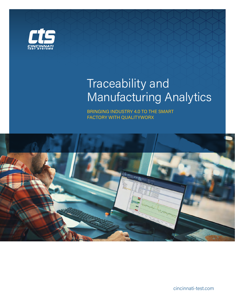

# Traceability and Manufacturing Analytics

BRINGING INDUSTRY 4.0 TO THE SMART FACTORY WITH QUALITYWORX



cincinnati-test.com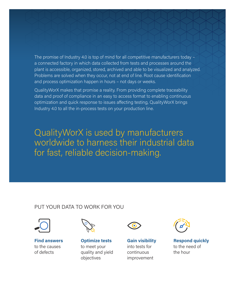The promise of Industry 4.0 is top of mind for all competitive manufacturers today – a connected factory in which data collected from tests and processes around the plant is accessible, organized, stored, archived and able to be visualized and analyzed. Problems are solved when they occur, not at end of line. Root cause identification and process optimization happen in hours – not days or weeks.

QualityWorX makes that promise a reality. From providing complete traceability data and proof of compliance in an easy to access format to enabling continuous optimization and quick response to issues affecting testing, QualityWorX brings Industry 4.0 to all the in-process tests on your production line.

QualityWorX is used by manufacturers worldwide to harness their industrial data for fast, reliable decision-making.

### PUT YOUR DATA TO WORK FOR YOU



**Find answers** to the causes of defects



**Optimize tests**  to meet your quality and yield objectives



**Gain visibility**  into tests for continuous improvement



**Respond quickly** to the need of the hour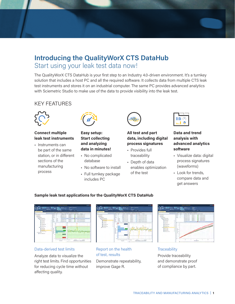## **Introducing the QualityWorX CTS DataHub** Start using your leak test data now!

The QualityWorX CTS DataHub is your first step to an Industry 4.0-driven environment. It's a turnkey solution that includes a host PC and all the required software. It collects data from multiple CTS leak test instruments and stores it on an industrial computer. The same PC provides advanced analytics with Sciemetric Studio to make use of the data to provide visibility into the leak test.

## KEY FEATURES



#### **Connect multiple leak test instruments**

• Instruments can be part of the same station, or in different sections of the manufacturing process



#### **Easy setup: Start collecting and analyzing data in minutes!**

- No complicated database
- No software to install
- Full turnkey package includes PC



#### **All test and part data, including digital process signatures**

- Provides full traceability
- Depth of data enables optimization of the test



#### **Data and trend analysis with advanced analytics software**

- Visualize data: digital process signatures (waveforms)
- Look for trends, compare data and get answers

#### **Sample leak test applications for the QualityWorX CTS DataHub**



#### Data-derived test limits

Analyze data to visualize the right test limits. Find opportunities for reducing cycle time without affecting quality.



Report on the health of test, results

Demonstrate repeatability, improve Gage R.



**Traceability** Provide traceability and demonstrate proof of compliance by part.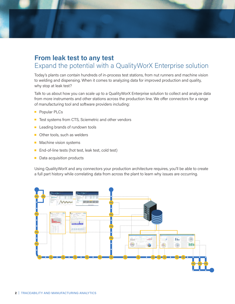## **From leak test to any test** Expand the potential with a QualityWorX Enterprise solution

Today's plants can contain hundreds of in-process test stations, from nut runners and machine vision to welding and dispensing. When it comes to analyzing data for improved production and quality, why stop at leak test?

Talk to us about how you can scale up to a QualityWorX Enterprise solution to collect and analyze data from more instruments and other stations across the production line. We offer connectors for a range of manufacturing tool and software providers including:

- **Popular PLCs**
- Test systems from CTS, Sciemetric and other vendors
- **Leading brands of rundown tools**
- Other tools, such as welders
- **Machine vision systems**
- End-of-line tests (hot test, leak test, cold test)
- Data acquisition products

Using QualityWorX and any connectors your production architecture requires, you'll be able to create a full part history while correlating data from across the plant to learn why issues are occurring.

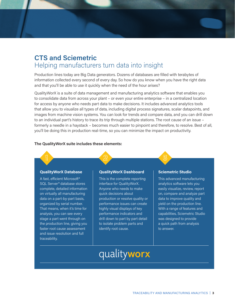## **CTS and Sciemetric**  Helping manufacturers turn data into insight

Production lines today are Big Data generators. Dozens of databases are filled with terabytes of information collected every second of every day. So how do you know when you have the right data and that you'll be able to use it quickly when the need of the hour arises?

QualityWorX is a suite of data management and manufacturing analytics software that enables you to consolidate data from across your plant – or even your entire enterprise – in a centralized location for access by anyone who needs part data to make decisions. It includes advanced analytics tools that allow you to visualize all types of data, including digital process signatures, scalar datapoints, and images from machine vision systems. You can look for trends and compare data, and you can drill down to an individual part's history to trace its trip through multiple stations. The root cause of an issue – formerly a needle in a haystack – becomes much easier to pinpoint and therefore, to resolve. Best of all, you'll be doing this in production real-time, so you can minimize the impact on productivity.

#### **The QualityWorX suite includes these elements:**

#### **QualityWorX Database**

A fast, efficient Microsoft® SQL Server® database stores complete, detailed information on virtually all manufacturing data on a part-by-part basis, organized by serial number. That means, when it's time for analysis, you can see every stage a part went through on the production line, giving you faster root cause assessment and issue resolution and full traceability.

#### **QualityWorX Dashboard**

This is the complete reporting interface for QualityWorX. Anyone who needs to make quick decisions about production or resolve quality or performance issues can create highly visual displays of key performance indicators and drill down to part by part detail to isolate problem parts and identify root cause.

#### **Sciemetric Studio**

This advanced manufacturing analytics software lets you easily visualize, review, report on, compare and analyze part data to improve quality and yield on the production line. With a range of features and capabilities, Sciemetric Studio was designed to provide a quick path from analysis to answer.

## qualityworx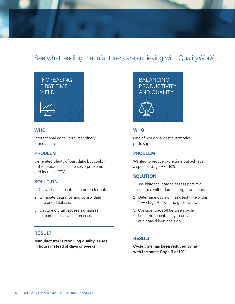

## See what leading manufacturers are achieving with QualityWorX



#### **WHO**

International agricultural machinery manufacturer.

#### **PROBLEM**

Generated plenty of part data, but couldn't put it to practical use, to solve problems and increase FTY.

#### **SOLUTION**

- 1. Convert all data into a common format.
- 2. Eliminate data silos and consolidate into one database.
- 3. Capture digital process signatures for complete view of a process.

#### **RESULT**

**Manufacturer is resolving quality issues in hours instead of days or weeks.**





#### **WHO**

One of world's largest automotive parts supplier.

#### **PROBLEM**

Wanted to reduce cycle time but achieve a specific Gage R of 10%.

#### **SOLUTION**

- 1. Use historical data to assess potential changes without impacting production.
- 2. Determine optimum leak test time within 10% Gage R – with no guesswork.
- 3. Consider tradeoff between cycle time and repeatability to arrive at a data-driven decision.

#### **RESULT**

**Cycle time has been reduced by half with the same Gage R of 10%.**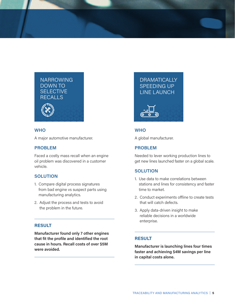

#### **WHO**

A major automotive manufacturer.

#### **PROBLEM**

Faced a costly mass recall when an engine oil problem was discovered in a customer vehicle.

#### **SOLUTION**

- 1. Compare digital process signatures from bad engine vs suspect parts using manufacturing analytics.
- 2. Adjust the process and tests to avoid the problem in the future.

#### **RESULT**

**Manufacturer found only 7 other engines that fit the profile and identified the root cause in hours. Recall costs of over \$5M were avoided.**

## **DRAMATICALLY** SPEEDING UP LINE LAUNCH



#### **WHO**

A global manufacturer.

#### **PROBLEM**

Needed to lever working production lines to get new lines launched faster on a global scale.

#### **SOLUTION**

- 1. Use data to make correlations between stations and lines for consistency and faster time to market.
- 2. Conduct experiments offline to create tests that will catch defects.
- 3. Apply data-driven insight to make reliable decisions in a worldwide enterprise.

#### **RESULT**

**Manufacturer is launching lines four times faster and achieving \$4M savings per line in capital costs alone.**